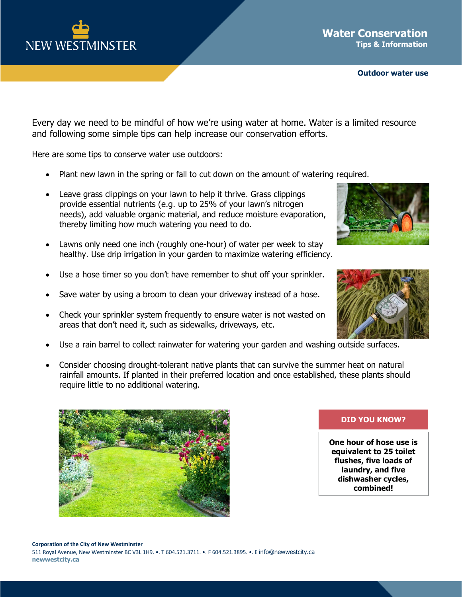

**Outdoor water use**

Every day we need to be mindful of how we're using water at home. Water is a limited resource and following some simple tips can help increase our conservation efforts.

Here are some tips to conserve water use outdoors:

- Plant new lawn in the spring or fall to cut down on the amount of watering required.
- Leave grass clippings on your lawn to help it thrive. Grass clippings provide essential nutrients (e.g. up to 25% of your lawn's nitrogen needs), add valuable organic material, and reduce moisture evaporation, thereby limiting how much watering you need to do.
- Lawns only need one inch (roughly one-hour) of water per week to stay healthy. Use drip irrigation in your garden to maximize watering efficiency.
- Use a hose timer so you don't have remember to shut off your sprinkler.
- Save water by using a broom to clean your driveway instead of a hose.
- Check your sprinkler system frequently to ensure water is not wasted on areas that don't need it, such as sidewalks, driveways, etc.
- Use a rain barrel to collect rainwater for watering your garden and washing outside surfaces.
- Consider choosing drought-tolerant native plants that can survive the summer heat on natural rainfall amounts. If planted in their preferred location and once established, these plants should require little to no additional watering.



## **DID YOU KNOW?**

**One hour of hose use is equivalent to 25 toilet flushes, five loads of laundry, and five dishwasher cycles, combined!**